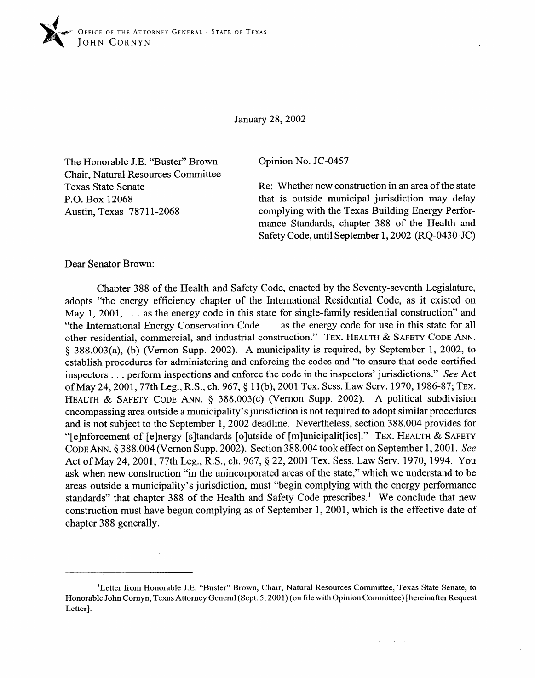

January 28,2002

The Honorable J.E. "Buster" Brown Chair, Natural Resources Committee Texas State Senate P.O. Box 12068 Austin, Texas 7871 l-2068

Opinion No. JC-0457

Re: Whether new construction in an area of the state that is outside municipal jurisdiction may delay complying with the Texas Building Energy Performance Standards, chapter 388 of the Health and Safety Code, until September 1,2002 (RQ-0430-JC)

Dear Senator Brown:

Chapter 388 of the Health and Safety Code, enacted by the Seventy-seventh Legislature, May 1, 2001,  $\ldots$  as the energy code in this state for single-family residential construction" and "the International Energy Conservation Code . . . as the energy code for use in this state for all other residential, commercial, and industrial construction." TEX. HEALTH & SAFETY CODE ANN. § 388.003(a), (b) (Vernon Supp. 2002). A municipality is required, by September 1, 2002, to establish procedures for administering and enforcing the codes and "to ensure that code-certified inspectors . . . perform inspections and enforce the code in the inspectors' jurisdictions." See Act of May 24, 2001, 77th Leg., R.S., ch. 967, § 11(b), 2001 Tex. Sess. Law Serv. 1970, 1986-87; TEX. HEALTH & SAFETY CODE ANN. § 388.003(c) (Vernon Supp. 2002). A political subdivision encompassing area outside a municipality's jurisdiction is not required to adopt similar procedures and is not subject to the September 1, 2002 deadline. Nevertheless, section 388.004 provides for "[e]nforcement of [e]nergy [s]tandards [o]utside of [m]unicipalit[ies]." TEX. HEALTH & SAFETY CODE ANN. § 388.004 (Vernon Supp. 2002). Section 388.004 took effect on September 1, 2001. See Act of May 24, 2001, 77th Leg., R.S., ch. 967, § 22, 2001 Tex. Sess. Law Serv. 1970, 1994. You ask when new construction "in the unincorporated areas of the state," which we understand to be areas outside a municipality's jurisdiction, must "begin complying with the energy performance standards" that chapter 388 of the Health and Safety Code prescribes.<sup>1</sup> We conclude that new construction must have begun complying as of September 1, 2001, which is the effective date of chapter 388 generally. chapter 388 generally.

<sup>&</sup>lt;sup>1</sup>Letter from Honorable J.E. "Buster" Brown, Chair, Natural Resources Committee, Texas State Senate, to Honorable John Cornyn, Texas Attorney General (Sept. 5, 2001) (on file with Opinion Committee) [hereinafter Request  $\text{Letter}]$ . The straight corner of the straight of the straight of the straight  $\text{Event}$   $\text{Event}$   $\text{Event}$   $\text{Event}$   $\text{Event}$   $\text{Event}$   $\text{Event}$   $\text{Event}$   $\text{Event}$   $\text{Event}$   $\text{Event}$   $\text{Event}$   $\text{Event}$   $\text{Event}$   $\text{Event}$   $\text{Event}$   $\text{Event}$   $\text{Event}$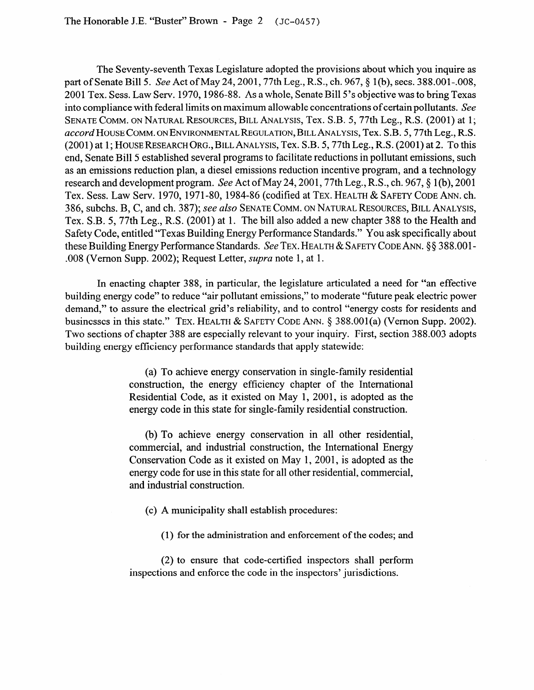The Seventy-seventh Texas Legislature adopted the provisions about which you inquire as part of Senate Bill 5. See Act of May 24, 2001, 77th Leg., R.S., ch. 967, § 1(b), secs. 388.001-.008, 2001 Tex. Sess. Law Serv. 1970,1986-88. As a whole, Senate Bill 5's objective was to bring Texas into compliance with federal limits on maximum allowable concentrations of certain pollutants. See **SENATE COMM. ON NATURAL RESOURCES, BILL ANALYSIS,** Tex. S.B. 5,77th Leg., R.S. (2001) at 1; **~CCW~HOUSE COMM. ONENVIRONMENTALREGULATION, BILL ANALYSIS,** Tex. S.B. 5,77th Leg., R.S. (2001) at 1; **HOUSERESEARCH ORG.,BILLANALYSIS,** Tex. S.B. 5,77th Leg., R.S. (2001) at 2. To this end, Senate Bill 5 established several programs to facilitate reductions in pollutant emissions, such as an emissions reduction plan, a diesel emissions reduction incentive program, and a technology research and development program. See Act of May 24,2001,77th Leg., R.S., ch. 967,§ l(b), 2001 Tex. Sess. Law Serv. 1970, 1971-80, 1984-86 (codified at **TEX. HEALTH & SAFETY CODE** ANN. ch. 386, subchs. B, C, and ch. 387); see *also* **SENATE COMM. ON NATURAL RESOURCES, BILL ANALYSIS,**  Tex. S.B. 5, 77th Leg., R.S. (2001) at 1. The bill also added a new chapter 388 to the Health and Safety Code, entitled "Texas Building Energy Performance Standards." You ask specifically about these Building Energy Performance Standards. See TEX. HEALTH & SAFETY CODE ANN. § § 388.001-.008 (Vernon Supp. 2002); Request Letter, *supra* note 1, at 1.

In enacting chapter 388, in particular, the legislature articulated a need for "an effective building energy code" to reduce "air pollutant emissions," to moderate "future peak electric power demand," to assure the electrical grid's reliability, and to control "energy costs for residents and businesses in this state." TEX. HEALTH & SAFETY CODE ANN. § 388.001(a) (Vernon Supp. 2002). Two sections of chapter 388 are especially relevant to your inquiry. First, section 388.003 adopts building energy efficiency performance standards that apply statewide:

> (a) To achieve energy conservation in single-family residential construction, the energy efficiency chapter of the International Residential Code, as it existed on May 1, 2001, is adopted as the energy code in this state for single-family residential construction.

> (b) To achieve energy conservation in all other residential, commercial, and industrial construction, the International Energy Conservation Code as it existed on May 1, 2001, is adopted as the energy code for use in this state for all other residential, commercial, and industrial construction.

- (c) A municipality shall establish procedures:
	- (1) for the administration and enforcement of the codes; and

(2) to ensure that code-certified inspectors shall perform inspections and enforce the code in the inspectors' jurisdictions.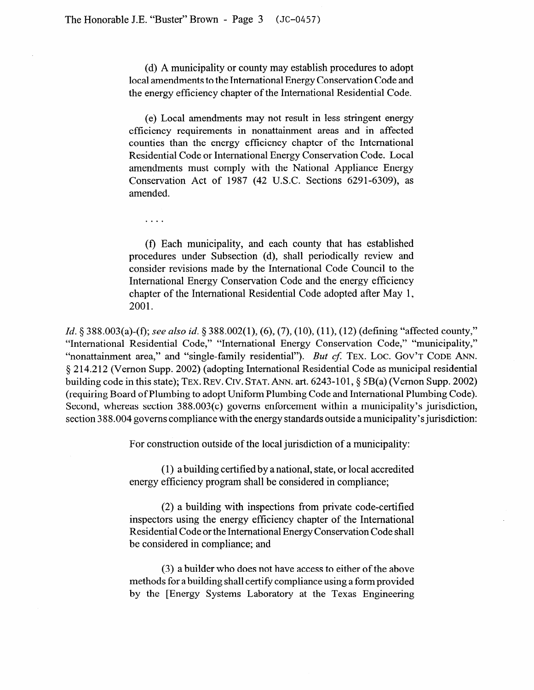$\cdots$ 

(d) A municipality or county may establish procedures to adopt local amendments to the International Energy Conservation Code and the energy efficiency chapter of the International Residential Code.

(e) Local amendments may not result in less stringent energy efficiency requirements in nonattainment areas and in affected counties than the energy efficiency chapter of the International Residential Code or International Energy Conservation Code. Local amendments must comply with the National Appliance Energy Conservation Act of 1987 (42 U.S.C. Sections 6291-6309), as amended.

(I) Each municipality, and each county that has established procedures under Subsection (d), shall periodically review and consider revisions made by the International Code Council to the International Energy Conservation Code and the energy efficiency chapter of the International Residential Code adopted after May 1, 2001.

*Id.* § 388.003(a)-(f); see also id. § 388.002(1), (6), (7), (10), (11), (12) (defining "affected county," "International Residential Code," "International Energy Conservation Code," "municipality," "nonattainment area," and "single-family residential"). *But cf.* TEX. LOC. GOV'T CODE ANN. 5 214.2 12 (Vernon Supp. 2002) (adopting International Residential Code as municipal residential building code in this state); **TEX. REW. CIV. STAT.** ANN. art. 6243-l 01, § 5B(a) (Vernon Supp. 2002) (requiring Board of Plumbing to adopt Uniform Plumbing Code and International Plumbing Code). Second, whereas section 388.003(c) governs enforcement within a municipality's jurisdiction, section 388.004 governs compliance with the energy standards outside a municipality's jurisdiction:

For construction outside of the local jurisdiction of a municipality:

(1) a building certified by a national, state, or local accredited energy efficiency program shall be considered in compliance;

(2) a building with inspections from private code-certified inspectors using the energy efficiency chapter of the International Residential Code or the International Energy Conservation Code shall be considered in compliance; and

(3) a builder who does not have access to either of the above methods for a building shall certify compliance using a form provided by the [Energy Systems Laboratory at the Texas Engineering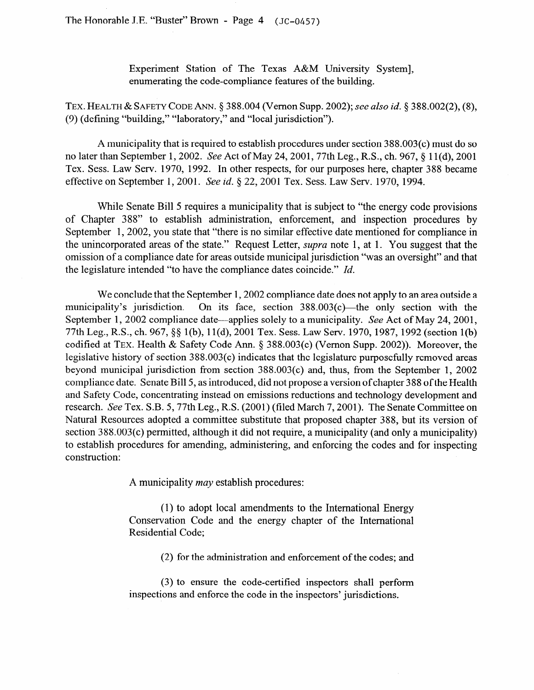The Honorable J.E. "Buster" Brown - Page 4 **(JC-0457)** 

Experiment Station of The Texas A&M University System], enumerating the code-compliance features of the building.

**TEX. HEALTH & SAFETY CODE** ANN. 8 388.004 (Vernon Supp. 2002); *see also id. 8 388.002(2), (8),*  (9) (defining "building," "laboratory," and "local jurisdiction").

A municipality that is required to establish procedures under section 388.003(c) must do so no later than September 1, 2002. See Act of May 24, 2001, 77th Leg., R.S., ch. 967, § 11(d), 2001 Tex. Sess. Law Serv. 1970, 1992. In other respects, for our purposes here, chapter 388 became effective on September 1, 2001. See id. § 22, 2001 Tex. Sess. Law Serv. 1970, 1994.

While Senate Bill 5 requires a municipality that is subject to "the energy code provisions of Chapter 388" to establish administration, enforcement, and inspection procedures by September 1, 2002, you state that "there is no similar effective date mentioned for compliance in the unincorporated areas of the state." Request Letter, *supra* note 1, at 1. You suggest that the omission of a compliance date for areas outside municipal jurisdiction "was an oversight" and that the legislature intended "to have the compliance dates coincide." *Id.* 

We conclude that the September 1, 2002 compliance date does not apply to an area outside a municipality's jurisdiction. On its face, section  $388.003(c)$ —the only section with the September 1, 2002 compliance date—applies solely to a municipality. See Act of May 24, 2001, 77th Leg., R.S., ch. 967, 55 1 (b), 11 (d), 2001 Tex. Sess. Law Serv. 1970, 1987, 1992 (section l(b) codified at **TEX.** Health & Safety Code Ann. 8 388.003(c) (Vernon Supp. 2002)). Moreover, the legislative history of section 388.003(c) indicates that the legislature purposefully removed areas beyond municipal jurisdiction from section  $388.003(c)$  and, thus, from the September 1, 2002 compliance date. Senate Bill 5, as introduced, did not propose a version of chapter 388 of the Health and Safety Code, concentrating instead on emissions reductions and technology development and research. See Tex. S.B. 5, 77th Leg., R.S. (2001) (filed March 7, 2001). The Senate Committee on Natural Resources adopted a committee substitute that proposed chapter 388, but its version of section 388.003(c) permitted, although it did not require, a municipality (and only a municipality) to establish procedures for amending, administering, and enforcing the codes and for inspecting construction:

A municipality *may* establish procedures:

(1) to adopt local amendments to the International Energy Conservation Code and the energy chapter of the International Residential Code;

(2) for the administration and enforcement of the codes; and

(3) to ensure the code-certified inspectors shall perform inspections and enforce the code in the inspectors' jurisdictions.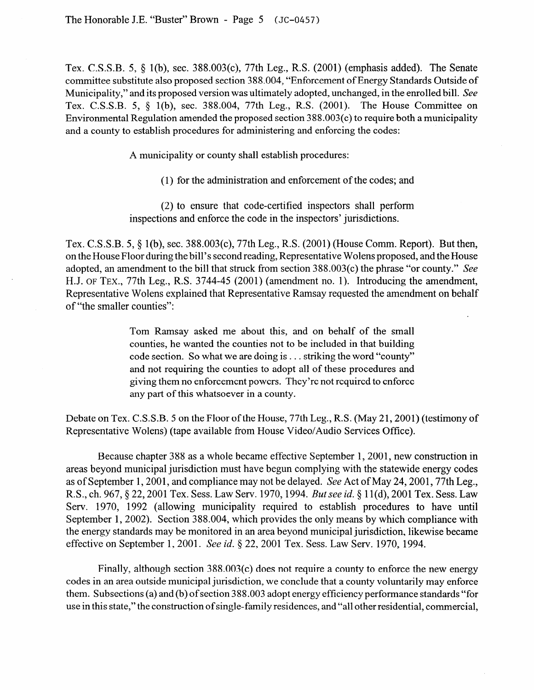Tex. C.S.S.B. 5, 8 l(b), sec. 388.003(c), 77th Leg., R.S. (2001) (emphasis added). The Senate committee substitute also proposed section 388.004, "Enforcement of Energy Standards Outside of Municipality," and its proposed version was ultimately adopted, unchanged, in the enrolled bill. See Tex. C.S.S.B. 5, 5 l(b), sec. 388.004, 77th Leg., R.S. (2001). The House Committee on Environmental Regulation amended the proposed section 3 8 8.003(c) to require both a municipality and a county to establish procedures for administering and enforcing the codes:

A municipality or county shall establish procedures:

(1) for the administration and enforcement of the codes; and

(2) to ensure that code-certified inspectors shall perform inspections and enforce the code in the inspectors' jurisdictions.

Tex. C.S.S.B. 5, § 1(b), sec. 388.003(c), 77th Leg., R.S. (2001) (House Comm. Report). But then, on the House Floor during the bill's second reading, Representative Wolens proposed, and the House adopted, an amendment to the bill that struck from section 388.003(c) the phrase "or county." See H.J. **OF TEX.,** 77th Leg., R.S. 3744-45 (2001) ( amendment no. 1). Introducing the amendment, Representative Wolens explained that Representative Ramsay requested the amendment on behalf of "the smaller counties":

> Tom Ramsay asked me about this, and on behalf of the small counties, he wanted the counties not to be included in that building code section. So what we are doing is . . . striking the word "county" and not requiring the counties to adopt all of these procedures and giving them no enforcement powers. They're not required to enforce any part of this whatsoever in a county.

Debate on Tex. C.S.S.B. 5 on the Floor of the House, 77th Leg., R.S. (May 21,200l) (testimony of Representative Wolens) (tape available from House Video/Audio Services Office).

Because chapter 388 as a whole became effective September 1,2001, new construction in areas beyond municipal jurisdiction must have begun complying with the statewide energy codes as of September 1,2001, and compliance may not be delayed. See Act of May 24,2001,77th Leg., R.S., ch. 967, § 22, 2001 Tex. Sess. Law Serv. 1970, 1994. *But see id.* § 11(d), 2001 Tex. Sess. Law Serv. 1970, 1992 (allowing municipality required to establish procedures to have until September 1, 2002). Section 388.004, which provides the only means by which compliance with the energy standards may be monitored in an area beyond municipal jurisdiction, likewise became effective on September 1, 2001. See id. § 22, 2001 Tex. Sess. Law Serv. 1970, 1994.

Finally, although section 388.003(c) does not require a county to enforce the new energy codes in an area outside municipal jurisdiction, we conclude that a county voluntarily may enforce them. Subsections (a) and (b) of section 3 88.003 adopt energy efficiency performance standards "for use in this state," the construction of single-family residences, and "all other residential, commercial,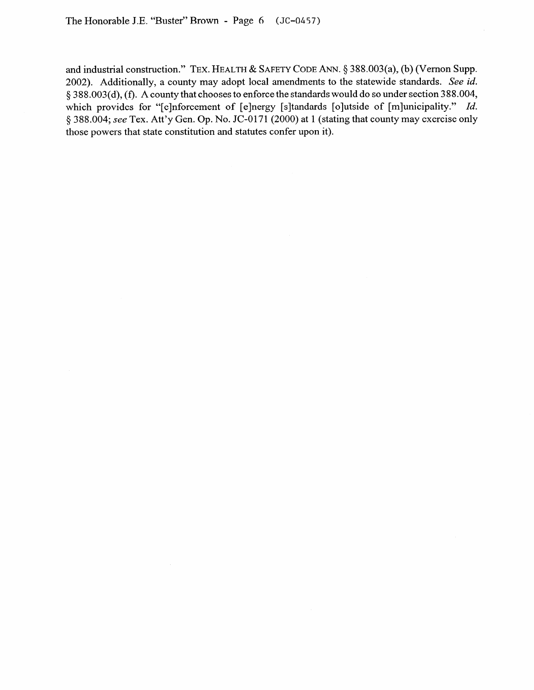and industrial construction." **TEX. HEALTH & SAFETY CODE** ANN. § 388.003(a), (b) (Vernon Supp. 2002). Additionally, a county may adopt local amendments to the statewide standards. See *id.*  § 388.003(d), (f). A county that chooses to enforce the standards would do so under section 388.004, which provides for "[e]nforcement of [e]nergy [s]tandards [o]utside of [m]unicipality." *Id.* 5 388.004; see Tex. Att'y Gen. Op. No. JC-0171 (2000) at 1 (stating that county may exercise only those powers that state constitution and statutes confer upon it).